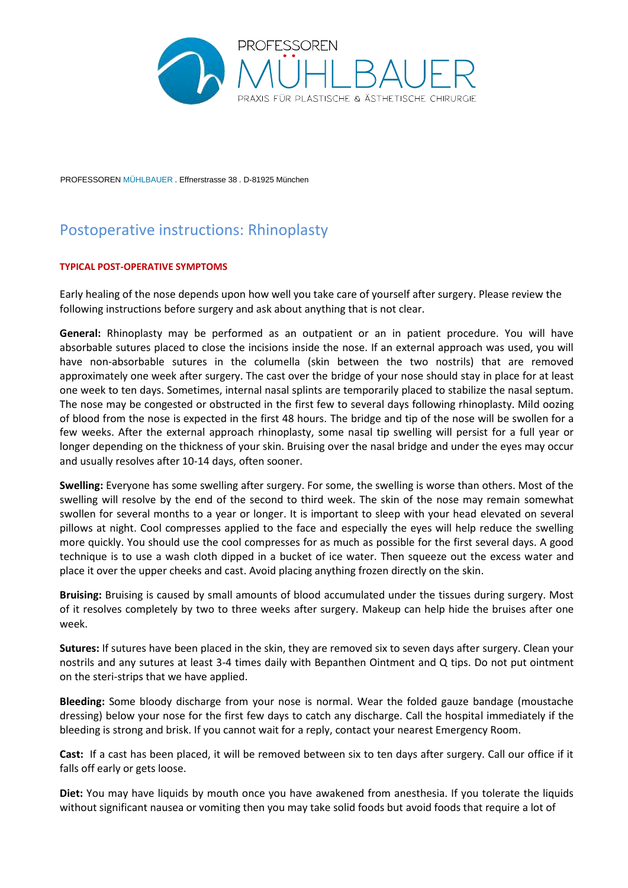

PROFESSOREN MÜHLBAUER . Effnerstrasse 38 . D-81925 München

## Postoperative instructions: Rhinoplasty

## **TYPICAL POST-OPERATIVE SYMPTOMS**

Early healing of the nose depends upon how well you take care of yourself after surgery. Please review the following instructions before surgery and ask about anything that is not clear.

**General:** Rhinoplasty may be performed as an outpatient or an in patient procedure. You will have absorbable sutures placed to close the incisions inside the nose. If an external approach was used, you will have non-absorbable sutures in the columella (skin between the two nostrils) that are removed approximately one week after surgery. The cast over the bridge of your nose should stay in place for at least one week to ten days. Sometimes, internal nasal splints are temporarily placed to stabilize the nasal septum. The nose may be congested or obstructed in the first few to several days following rhinoplasty. Mild oozing of blood from the nose is expected in the first 48 hours. The bridge and tip of the nose will be swollen for a few weeks. After the external approach rhinoplasty, some nasal tip swelling will persist for a full year or longer depending on the thickness of your skin. Bruising over the nasal bridge and under the eyes may occur and usually resolves after 10-14 days, often sooner.

**Swelling:** Everyone has some swelling after surgery. For some, the swelling is worse than others. Most of the swelling will resolve by the end of the second to third week. The skin of the nose may remain somewhat swollen for several months to a year or longer. It is important to sleep with your head elevated on several pillows at night. Cool compresses applied to the face and especially the eyes will help reduce the swelling more quickly. You should use the cool compresses for as much as possible for the first several days. A good technique is to use a wash cloth dipped in a bucket of ice water. Then squeeze out the excess water and place it over the upper cheeks and cast. Avoid placing anything frozen directly on the skin.

**Bruising:** Bruising is caused by small amounts of blood accumulated under the tissues during surgery. Most of it resolves completely by two to three weeks after surgery. Makeup can help hide the bruises after one week.

**Sutures:** If sutures have been placed in the skin, they are removed six to seven days after surgery. Clean your nostrils and any sutures at least 3-4 times daily with Bepanthen Ointment and Q tips. Do not put ointment on the steri-strips that we have applied.

**Bleeding:** Some bloody discharge from your nose is normal. Wear the folded gauze bandage (moustache dressing) below your nose for the first few days to catch any discharge. Call the hospital immediately if the bleeding is strong and brisk. If you cannot wait for a reply, contact your nearest Emergency Room.

**Cast:** If a cast has been placed, it will be removed between six to ten days after surgery. Call our office if it falls off early or gets loose.

**Diet:** You may have liquids by mouth once you have awakened from anesthesia. If you tolerate the liquids without significant nausea or vomiting then you may take solid foods but avoid foods that require a lot of